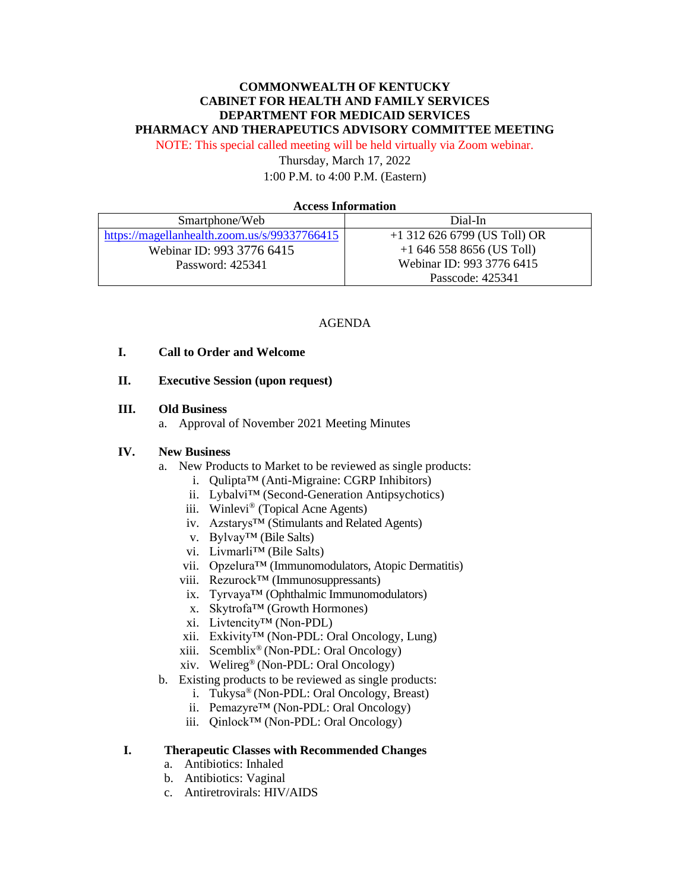# **COMMONWEALTH OF KENTUCKY CABINET FOR HEALTH AND FAMILY SERVICES DEPARTMENT FOR MEDICAID SERVICES PHARMACY AND THERAPEUTICS ADVISORY COMMITTEE MEETING**

NOTE: This special called meeting will be held virtually via Zoom webinar.

Thursday, March 17, 2022 1:00 P.M. to 4:00 P.M. (Eastern)

#### **Access Information**

| Smartphone/Web                               | Dial-In                        |
|----------------------------------------------|--------------------------------|
| https://magellanhealth.zoom.us/s/99337766415 | $+1$ 312 626 6799 (US Toll) OR |
| Webinar ID: 993 3776 6415                    | $+16465588656$ (US Toll)       |
| Password: 425341                             | Webinar ID: 993 3776 6415      |
|                                              | Passcode: 425341               |

#### AGENDA

## **I. Call to Order and Welcome**

#### **II. Executive Session (upon request)**

#### **III. Old Business**

a. Approval of November 2021 Meeting Minutes

### **IV. New Business**

- a. New Products to Market to be reviewed as single products:
	- i. Qulipta™ (Anti-Migraine: CGRP Inhibitors)
	- ii. Lybalvi™ (Second-Generation Antipsychotics)
	- iii. Winlevi® (Topical Acne Agents)
	- iv. Azstarys™ (Stimulants and Related Agents)
	- v. Bylvay™ (Bile Salts)
	- vi. Livmarli™ (Bile Salts)
	- vii. Opzelura™ (Immunomodulators, Atopic Dermatitis)
	- viii. Rezurock™ (Immunosuppressants)
	- ix. Tyrvaya™ (Ophthalmic Immunomodulators)
	- x. Skytrofa™ (Growth Hormones)
	- xi. Livtencity™ (Non-PDL)
	- xii. Exkivity™ (Non-PDL: Oral Oncology, Lung)
	- xiii. Scemblix® (Non-PDL: Oral Oncology)
	- xiv. Welireg® (Non-PDL: Oral Oncology)
- b. Existing products to be reviewed as single products:
	- i. Tukysa® (Non-PDL: Oral Oncology, Breast)
	- ii. Pemazyre™ (Non-PDL: Oral Oncology)
	- iii. Qinlock™ (Non-PDL: Oral Oncology)

## **I. Therapeutic Classes with Recommended Changes**

- a. Antibiotics: Inhaled
- b. Antibiotics: Vaginal
- c. Antiretrovirals: HIV/AIDS